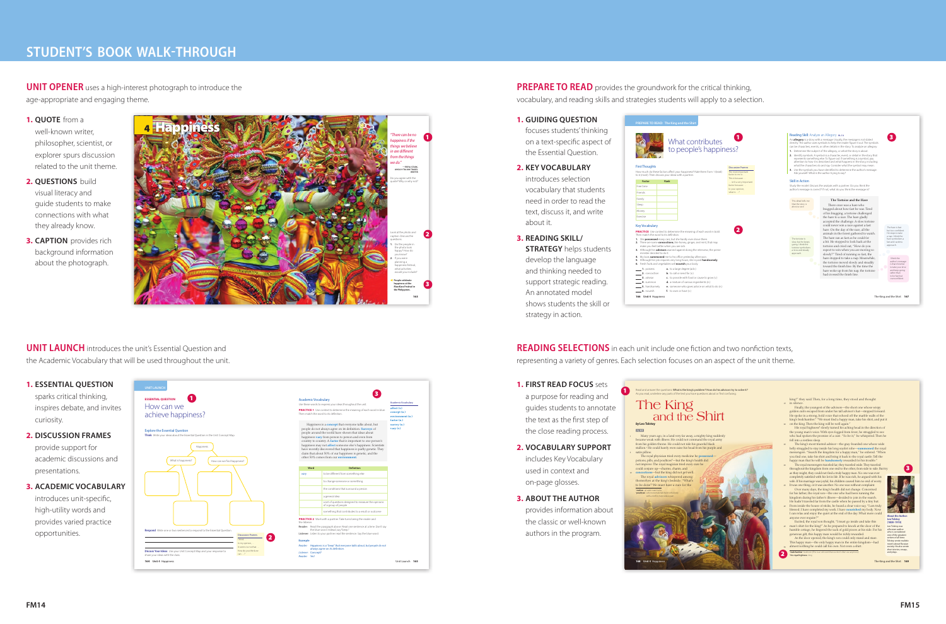# **STUDENT'S BOOK WALK-THROUGH**

**UNIT OPENER** uses a high-interest photograph to introduce the age-appropriate and engaging theme.

**PREPARE TO READ** provides the groundwork for the critical thinking, vocabulary, and reading skills and strategies students will apply to a selection.

# **UNIT LAUNCH** introduces the unit's Essential Question and the Academic Vocabulary that will be used throughout the unit.

**READING SELECTIONS** in each unit include one fiction and two nonfiction texts, representing a variety of genres. Each selection focuses on an aspect of the unit theme.

### **1. GUIDING QUESTION**

focuses students' thinking on a text-specific aspect of the Essential Question.

# **2. KEY VOCABULARY**

introduces selection vocabulary that students need in order to read the text, discuss it, and write about it.

**3. READING SKILL/ STRATEGY** helps students develop the language and thinking needed to support strategic reading. An annotated model shows students the skill or strategy in action.

## **1. FIRST READ FOCUS** sets

a purpose for reading and guides students to annotate the text as the first step of the close reading process.

- **2. VOCABULARY SUPPORT** includes Key Vocabulary used in context and on-page glosses.
- **3. ABOUT THE AUTHOR** provides information about the classic or well-known authors in the program.

Free time Friends Family Sleep Money Exercise





**UNIT LAUNCH**





### **1. QUOTE** from a

well-known writer, philosopher, scientist, or explorer spurs discussion related to the unit theme.

- **2. QUESTIONS** build visual literacy and guide students to make connections with what they already know.
- **3. CAPTION** provides rich background information about the photograph.

### **1. ESSENTIAL QUESTION**

sparks critical thinking, inspires debate, and invites curiosity.

- **2. DISCUSSION FRAMES** provide support for academic discussions and presentations.
- **3. ACADEMIC VOCABULARY** introduces unit-specific, high-utility words and provides varied practice

opportunities.

1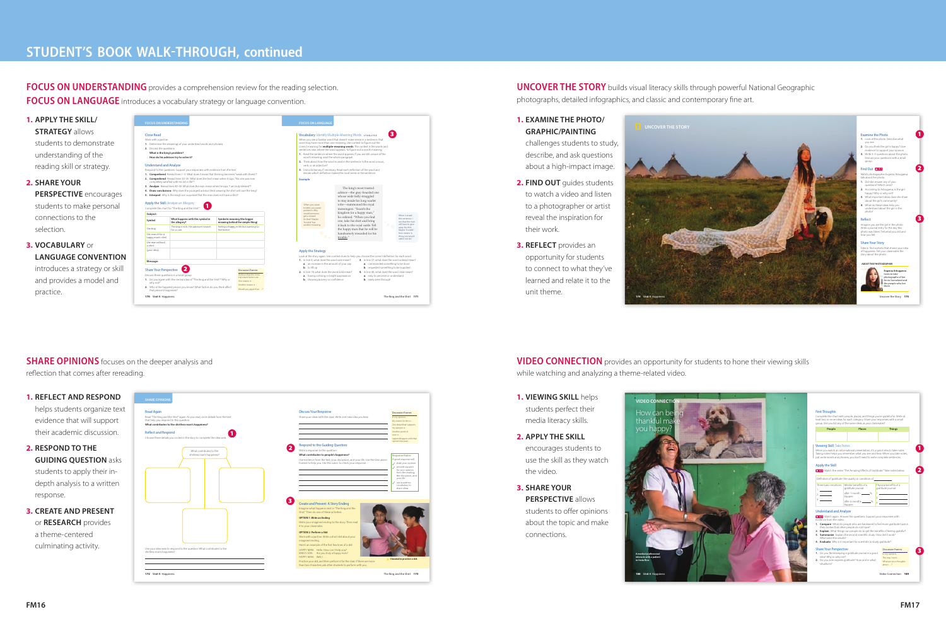# **STUDENT'S BOOK WALK-THROUGH, continued**

**FOCUS ON UNDERSTANDING** provides a comprehension review for the reading selection. **FOCUS ON LANGUAGE** introduces a vocabulary strategy or language convention.

## **1. REFLECT AND RESPOND**

helps students organize text evidence that will support their academic discussion.

- **2. RESPOND TO THE GUIDING QUESTION** asks students to apply their indepth analysis to a written response.
- **3. CREATE AND PRESENT**  or **RESEARCH** provides a theme-centered culminating activity.

## **1. EXAMINE THE PHOTO/ GRAPHIC/PAINTING**

challenges students to study, describe, and ask questions about a high-impact image.

**UNCOVER THE STORY** builds visual literacy skills through powerful National Geographic photographs, detailed infographics, and classic and contemporary fine art.

- **2. FIND OUT** guides students to watch a video and listen to a photographer or artist reveal the inspiration for their work.
- **3. REFLECT** provides an opportunity for students to connect to what they've learned and relate it to the unit theme.

- **1. VIEWING SKILL** helps students perfect their media literacy skills.
- **2. APPLY THE SKILL** encourages students to use the skill as they watch the video.
- **3. SHARE YOUR PERSPECTIVE** allows students to offer opinions about the topic and make connections.

reflection that comes after rereading.

**VIDEO CONNECTION** provides an opportunity for students to hone their viewing skills while watching and analyzing a theme-related video.

| <b>1. APPLY THE SKILL/</b>     | <b>FOCUS ON UNDERSTANDING</b>                                                                                                                                                                                                                                                  |                                                                                                                                         |             |                                                                                                                                                                                                                                                                                                      |                                                                                                                          | <b>FOCUS ON LANGUAGE</b>                                                                                                                                                                                                                      |                                                                                                                                                   |                                                                                                                             |
|--------------------------------|--------------------------------------------------------------------------------------------------------------------------------------------------------------------------------------------------------------------------------------------------------------------------------|-----------------------------------------------------------------------------------------------------------------------------------------|-------------|------------------------------------------------------------------------------------------------------------------------------------------------------------------------------------------------------------------------------------------------------------------------------------------------------|--------------------------------------------------------------------------------------------------------------------------|-----------------------------------------------------------------------------------------------------------------------------------------------------------------------------------------------------------------------------------------------|---------------------------------------------------------------------------------------------------------------------------------------------------|-----------------------------------------------------------------------------------------------------------------------------|
| <b>STRATEGY allows</b>         | <b>Close Read</b>                                                                                                                                                                                                                                                              |                                                                                                                                         |             |                                                                                                                                                                                                                                                                                                      |                                                                                                                          |                                                                                                                                                                                                                                               | Vocabulary: Identify Multiple-Meaning Words L7AA, L7SC                                                                                            | $\mathbf{3}$                                                                                                                |
| students to demonstrate        | Work with a partner.<br>1. Determine the meanings of your underlined words and phrases.<br>2. Discuss the questions:                                                                                                                                                           |                                                                                                                                         |             | When you see a familiar word that doesn't make sense in a sentence, that<br>word may have more than one meaning. Use context to figure out the<br>correct meaning for multiple-meaning words. The context is the words and<br>sentences near where the word appears. To figure out a word's meaning: |                                                                                                                          |                                                                                                                                                                                                                                               |                                                                                                                                                   |                                                                                                                             |
| understanding of the           | What is the king's problem?<br>How do his advisors try to solve it?                                                                                                                                                                                                            |                                                                                                                                         |             |                                                                                                                                                                                                                                                                                                      | 1. Read the sentence where the word appears. If you are still unsure of the<br>word's meaning, read the whole paragraph. |                                                                                                                                                                                                                                               |                                                                                                                                                   |                                                                                                                             |
| reading skill or strategy.     | <b>Understand and Analyze</b><br>Respond to the questions. Support your responses with evidence from the text.<br>1. Comprehend Reread lines 1-5. What does it mean that the king becomes "weak with illness"?                                                                 |                                                                                                                                         |             |                                                                                                                                                                                                                                                                                                      |                                                                                                                          | 2. Think about how the word is used in the sentence. Is the word a noun.<br>verb, or an adjective?<br>3. Use a dictionary if necessary. Read each definition of the word and<br>decide which definition makes the most sense in the sentence. |                                                                                                                                                   |                                                                                                                             |
| <b>2. SHARE YOUR</b>           |                                                                                                                                                                                                                                                                                | 2. Comprehend Reread lines 32-35. What does the text mean when it says, "No one was ever<br>completely satisfied with his lot in life"? |             |                                                                                                                                                                                                                                                                                                      | <b>Example</b>                                                                                                           |                                                                                                                                                                                                                                               |                                                                                                                                                   |                                                                                                                             |
| <b>PERSPECTIVE</b> encourages  | 3. Analyze Reread lines 40-43. What does the man mean when he says, "I am truly blessed"?<br>4. Draw conclusions Why does the youngest advisor think wearing the shirt will cure the king?<br>5. Interpret Why is the king's son surprised that the man does not have a shirt? |                                                                                                                                         |             |                                                                                                                                                                                                                                                                                                      |                                                                                                                          | The king's most trusted<br>advisor-the gray-bearded one<br>whose wide belly struggled<br>to stay inside his long scarlet<br>robe-summoned the royal<br>messengers. "Search the                                                                |                                                                                                                                                   |                                                                                                                             |
| students to make personal      | Apply the Skill: Analyze an Allegory<br>Complete the chart for "The King and the Shirt."                                                                                                                                                                                       |                                                                                                                                         |             |                                                                                                                                                                                                                                                                                                      |                                                                                                                          |                                                                                                                                                                                                                                               | When you cause<br>trouble, you cause<br>problems. Why                                                                                             |                                                                                                                             |
| connections to the             | Subject:<br>What happens with this symbol in<br>Symbolic meaning (the bigger<br>Symbol<br>meaning behind the simple thing)<br>the allegory?                                                                                                                                    |                                                                                                                                         |             |                                                                                                                                                                                                                                                                                                      | would someone<br>get a reward<br>for that? Maybe<br>"trouble" has                                                        |                                                                                                                                                                                                                                               | kingdom for a happy man,"<br>When I reread<br>he ordered. "When you find<br>this sentence. I<br>one, take his shirt and bring<br>see that the man |                                                                                                                             |
| selection.                     | the king<br>the search for a                                                                                                                                                                                                                                                   | The king is sick. His advisors search<br>for a cure                                                                                     | feel better | feeling unhappy in life but wanting to                                                                                                                                                                                                                                                               |                                                                                                                          | another meaning.                                                                                                                                                                                                                              | it back to the royal castle. Tell<br>the happy man that he will be<br>handsomely rewarded for his                                                 | will have to give<br>away his shirt.<br>Maybe "trouble"<br>here means "a<br>thing you would                                 |
| <b>3. VOCABULARY OF</b>        | happy man's shirt<br>the man without<br>a shirt<br>(your idea)                                                                                                                                                                                                                 |                                                                                                                                         |             |                                                                                                                                                                                                                                                                                                      |                                                                                                                          |                                                                                                                                                                                                                                               | trouble."                                                                                                                                         | rather not do."                                                                                                             |
| <b>LANGUAGE CONVENTION</b>     | Message:                                                                                                                                                                                                                                                                       |                                                                                                                                         |             |                                                                                                                                                                                                                                                                                                      |                                                                                                                          | <b>Apply the Strategy</b><br>1. In line 4, what does the word raise mean?                                                                                                                                                                     | Look at the story again. Use context clues to help you choose the correct definition for each word.                                               | 3. In line 27, what does the word ordered mean?                                                                             |
| introduces a strategy or skill | <b>Share Your Perspective</b>                                                                                                                                                                                                                                                  | 2                                                                                                                                       |             | <b>Discussion Frames</b>                                                                                                                                                                                                                                                                             |                                                                                                                          | a. an increase in the amount of your pay<br>b. to lift up<br>2. In line 18, what does the word bold mean?                                                                                                                                     |                                                                                                                                                   | a. commanded something to be done<br>b. requested something to be supplied<br>4. In line 40, what does the word clear mean? |
| and provides a model and       | I believe that the most<br>Discuss these questions in a small group.<br>important factors are<br>1. Do you agree with the central idea of "The King and the Shirt"? Why or<br>One reason is<br>why not?                                                                        |                                                                                                                                         |             | Another reason is                                                                                                                                                                                                                                                                                    |                                                                                                                          | a. having a strong or bright appearance<br>a. easy to perceive or understand<br>b. showing brayery or confidence<br><b>b.</b> easily seen through                                                                                             |                                                                                                                                                   |                                                                                                                             |
| practice.                      | that person's happiness?<br>170 Unit 4 Happiness                                                                                                                                                                                                                               | 2. Who is the happiest person you know? What factors do you think affect                                                                |             | Would you agree that ?                                                                                                                                                                                                                                                                               |                                                                                                                          |                                                                                                                                                                                                                                               |                                                                                                                                                   | The King and the Shirt 171                                                                                                  |



## **SHARE OPINIONS** focuses on the deeper analysis and

| <b>Discuss Your Response</b><br><b>Read Again</b>                                                                                                                                                           | <b>Discussion Frames</b>                                                                                                                                            |
|-------------------------------------------------------------------------------------------------------------------------------------------------------------------------------------------------------------|---------------------------------------------------------------------------------------------------------------------------------------------------------------------|
| Read "The King and the Shirt" again. As you read, circle details from the text<br>that help you respond to this question:<br>What contributes to the shirtless man's happiness?                             | Share your ideas with the class. Write one new idea you hear.<br>In my opinion,<br>My reason for this is<br>One detail that supports                                |
| <b>Reflect and Respond</b>                                                                                                                                                                                  | my opinion is<br>Another point of<br>view is                                                                                                                        |
| Choose three details you circled in the story to complete the idea web.                                                                                                                                     | I agree/disagree with that<br>opinion because                                                                                                                       |
| <b>Respond to the Guiding Question</b>                                                                                                                                                                      |                                                                                                                                                                     |
| Write a response to the question:<br>What contributes to the                                                                                                                                                |                                                                                                                                                                     |
| shirtless man's happiness?<br>What contributes to people's happiness?                                                                                                                                       | <b>Response Rubric</b>                                                                                                                                              |
| Frames to help you. Use the rubric to check your response.                                                                                                                                                  | A good response will<br>Use evidence from the text, your discussion, and your life. Use the Discussion<br>state your opinion<br>provide support<br>for your opinion |
|                                                                                                                                                                                                             | from the reading.<br>the discussion, and<br>vour life<br>use academic                                                                                               |
|                                                                                                                                                                                                             | vocabulary to<br>share ideas                                                                                                                                        |
| <b>Create and Present: A Story Ending</b>                                                                                                                                                                   |                                                                                                                                                                     |
|                                                                                                                                                                                                             |                                                                                                                                                                     |
| Imagine what happens next in "The King and the<br>Shirt" Then do one of these activities:                                                                                                                   |                                                                                                                                                                     |
| <b>OPTION 1: Write an Ending</b>                                                                                                                                                                            |                                                                                                                                                                     |
| Write your imagined ending to the story. Then read<br>it to your classmates.                                                                                                                                |                                                                                                                                                                     |
| OPTION 2: Perform a Skit                                                                                                                                                                                    |                                                                                                                                                                     |
| Work with a partner. Write a short skit about your<br>imagined ending.                                                                                                                                      |                                                                                                                                                                     |
| Here's an example of the first few lines of a skit:                                                                                                                                                         |                                                                                                                                                                     |
| Use your idea web to respond to the question: What contributes to the<br>HAPPY MAN: Hello. How can I help you?<br>shirtless man's happiness?<br>KING'S SON: Are you truly a happy man?<br>HAPPY MAN: Well.I | Classmates practice a skit.                                                                                                                                         |